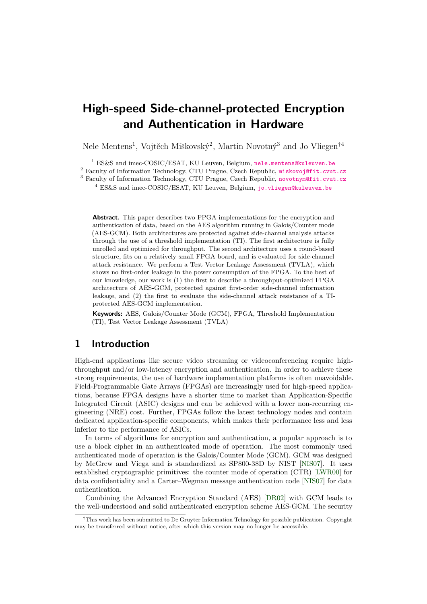# **High-speed Side-channel-protected Encryption and Authentication in Hardware**

Nele Mentens<sup>1</sup>, Vojtěch Miškovský<sup>2</sup>, Martin Novotný<sup>3</sup> and Jo Vliegen<sup>†4</sup>

<sup>1</sup> ES&S and imec-COSIC/ESAT, KU Leuven, Belgium, [nele.mentens@kuleuven.be](mailto:nele.mentens@kuleuven.be) <sup>2</sup> Faculty of Information Technology, CTU Prague, Czech Republic, [miskovoj@fit.cvut.cz](mailto:miskovoj@fit.cvut.cz) <sup>3</sup> Faculty of Information Technology, CTU Prague, Czech Republic, [novotnym@fit.cvut.cz](mailto:novotnym@fit.cvut.cz)

<sup>4</sup> ES&S and imec-COSIC/ESAT, KU Leuven, Belgium, [jo.vliegen@kuleuven.be](mailto:jo.vliegen@kuleuven.be)

**Abstract.** This paper describes two FPGA implementations for the encryption and authentication of data, based on the AES algorithm running in Galois/Counter mode (AES-GCM). Both architectures are protected against side-channel analysis attacks through the use of a threshold implementation (TI). The first architecture is fully unrolled and optimized for throughput. The second architecture uses a round-based structure, fits on a relatively small FPGA board, and is evaluated for side-channel attack resistance. We perform a Test Vector Leakage Assessment (TVLA), which shows no first-order leakage in the power consumption of the FPGA. To the best of our knowledge, our work is (1) the first to describe a throughput-optimized FPGA architecture of AES-GCM, protected against first-order side-channel information leakage, and (2) the first to evaluate the side-channel attack resistance of a TIprotected AES-GCM implementation.

**Keywords:** AES, Galois/Counter Mode (GCM), FPGA, Threshold Implementation (TI), Test Vector Leakage Assessment (TVLA)

### <span id="page-0-0"></span>**1 Introduction**

High-end applications like secure video streaming or videoconferencing require highthroughput and/or low-latency encryption and authentication. In order to achieve these strong requirements, the use of hardware implementation platforms is often unavoidable. Field-Programmable Gate Arrays (FPGAs) are increasingly used for high-speed applications, because FPGA designs have a shorter time to market than Application-Specific Integrated Circuit (ASIC) designs and can be achieved with a lower non-recurring engineering (NRE) cost. Further, FPGAs follow the latest technology nodes and contain dedicated application-specific components, which makes their performance less and less inferior to the performance of ASICs.

In terms of algorithms for encryption and authentication, a popular approach is to use a block cipher in an authenticated mode of operation. The most commonly used authenticated mode of operation is the Galois/Counter Mode (GCM). GCM was designed by McGrew and Viega and is standardized as SP800-38D by NIST [\[NIS07\]](#page-13-0). It uses established cryptographic primitives: the counter mode of operation (CTR) [\[LWR00\]](#page-12-0) for data confidentiality and a Carter–Wegman message authentication code [\[NIS07\]](#page-13-0) for data authentication.

Combining the Advanced Encryption Standard (AES) [\[DR02\]](#page-11-0) with GCM leads to the well-understood and solid authenticated encryption scheme AES-GCM. The security

<sup>†</sup>This work has been submitted to De Gruyter Information Tehnology for possible publication. Copyright may be transferred without notice, after which this version may no longer be accessible.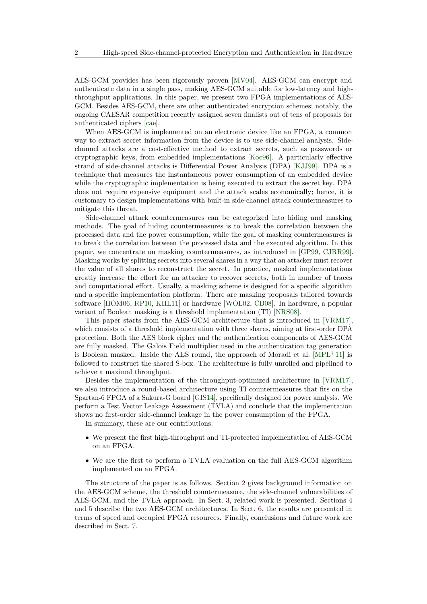AES-GCM provides has been rigorously proven [\[MV04\]](#page-13-1). AES-GCM can encrypt and authenticate data in a single pass, making AES-GCM suitable for low-latency and highthroughput applications. In this paper, we present two FPGA implementations of AES-GCM. Besides AES-GCM, there are other authenticated encryption schemes; notably, the ongoing CAESAR competition recently assigned seven finalists out of tens of proposals for authenticated ciphers [\[cae\]](#page-11-1).

When AES-GCM is implemented on an electronic device like an FPGA, a common way to extract secret information from the device is to use side-channel analysis. Sidechannel attacks are a cost-effective method to extract secrets, such as passwords or cryptographic keys, from embedded implementations [\[Koc96\]](#page-12-1). A particularly effective strand of side-channel attacks is Differential Power Analysis (DPA) [\[KJJ99\]](#page-12-2). DPA is a technique that measures the instantaneous power consumption of an embedded device while the cryptographic implementation is being executed to extract the secret key. DPA does not require expensive equipment and the attack scales economically; hence, it is customary to design implementations with built-in side-channel attack countermeasures to mitigate this threat.

Side-channel attack countermeasures can be categorized into hiding and masking methods. The goal of hiding countermeasures is to break the correlation between the processed data and the power consumption, while the goal of masking countermeasures is to break the correlation between the processed data and the executed algorithm. In this paper, we concentrate on masking countermeasures, as introduced in [\[GP99,](#page-11-2) [CJRR99\]](#page-11-3). Masking works by splitting secrets into several shares in a way that an attacker must recover the value of all shares to reconstruct the secret. In practice, masked implementations greatly increase the effort for an attacker to recover secrets, both in number of traces and computational effort. Usually, a masking scheme is designed for a specific algorithm and a specific implementation platform. There are masking proposals tailored towards software [\[HOM06,](#page-12-3) [RP10,](#page-13-2) [KHL11\]](#page-12-4) or hardware [\[WOL02,](#page-14-0) [CB08\]](#page-11-4). In hardware, a popular variant of Boolean masking is a threshold implementation (TI) [\[NRS08\]](#page-13-3).

This paper starts from the AES-GCM architecture that is introduced in [\[VRM17\]](#page-13-4), which consists of a threshold implementation with three shares, aiming at first-order DPA protection. Both the AES block cipher and the authentication components of AES-GCM are fully masked. The Galois Field multiplier used in the authentication tag generation is Boolean masked. Inside the AES round, the approach of Moradi et al.  $[MPL+11]$  $[MPL+11]$  is followed to construct the shared S-box. The architecture is fully unrolled and pipelined to achieve a maximal throughput.

Besides the implementation of the throughput-optimized architecture in [\[VRM17\]](#page-13-4), we also introduce a round-based architecture using TI countermeasures that fits on the Spartan-6 FPGA of a Sakura-G board [\[GIS14\]](#page-11-5), specifically designed for power analysis. We perform a Test Vector Leakage Assessment (TVLA) and conclude that the implementation shows no first-order side-channel leakage in the power consumption of the FPGA.

In summary, these are our contributions:

- We present the first high-throughput and TI-protected implementation of AES-GCM on an FPGA.
- We are the first to perform a TVLA evaluation on the full AES-GCM algorithm implemented on an FPGA.

The structure of the paper is as follows. Section [2](#page-2-0) gives background information on the AES-GCM scheme, the threshold countermeasure, the side-channel vulnerabilities of AES-GCM, and the TVLA approach. In Sect. [3,](#page-3-0) related work is presented. Sections [4](#page-4-0) and [5](#page-8-0) describe the two AES-GCM architectures. In Sect. [6,](#page-8-1) the results are presented in terms of speed and occupied FPGA resources. Finally, conclusions and future work are described in Sect. [7.](#page-10-0)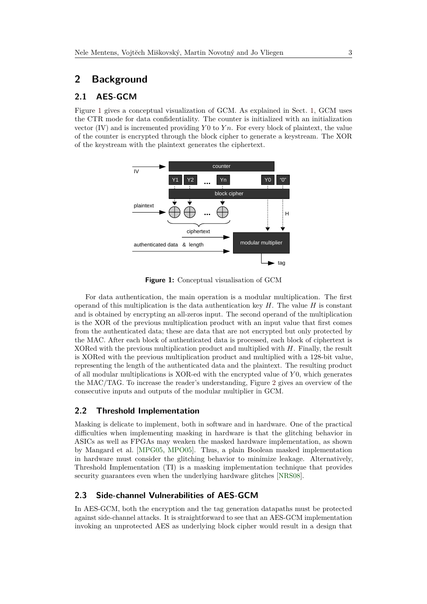### <span id="page-2-0"></span>**2 Background**

### <span id="page-2-2"></span>**2.1 AES-GCM**

Figure [1](#page-2-1) gives a conceptual visualization of GCM. As explained in Sect. [1,](#page-0-0) GCM uses the CTR mode for data confidentiality. The counter is initialized with an initialization vector (IV) and is incremented providing  $Y0$  to  $Yn$ . For every block of plaintext, the value of the counter is encrypted through the block cipher to generate a keystream. The XOR of the keystream with the plaintext generates the ciphertext.

<span id="page-2-1"></span>

**Figure 1:** Conceptual visualisation of GCM

For data authentication, the main operation is a modular multiplication. The first operand of this multiplication is the data authentication key  $H$ . The value  $H$  is constant and is obtained by encrypting an all-zeros input. The second operand of the multiplication is the XOR of the previous multiplication product with an input value that first comes from the authenticated data; these are data that are not encrypted but only protected by the MAC. After each block of authenticated data is processed, each block of ciphertext is XORed with the previous multiplication product and multiplied with *H*. Finally, the result is XORed with the previous multiplication product and multiplied with a 128-bit value, representing the length of the authenticated data and the plaintext. The resulting product of all modular multiplications is XOR-ed with the encrypted value of *Y* 0, which generates the MAC/TAG. To increase the reader's understanding, Figure [2](#page-3-1) gives an overview of the consecutive inputs and outputs of the modular multiplier in GCM.

#### **2.2 Threshold Implementation**

Masking is delicate to implement, both in software and in hardware. One of the practical difficulties when implementing masking in hardware is that the glitching behavior in ASICs as well as FPGAs may weaken the masked hardware implementation, as shown by Mangard et al. [\[MPG05,](#page-12-6) [MPO05\]](#page-13-5). Thus, a plain Boolean masked implementation in hardware must consider the glitching behavior to minimize leakage. Alternatively, Threshold Implementation (TI) is a masking implementation technique that provides security guarantees even when the underlying hardware glitches [\[NRS08\]](#page-13-3).

#### **2.3 Side-channel Vulnerabilities of AES-GCM**

In AES-GCM, both the encryption and the tag generation datapaths must be protected against side-channel attacks. It is straightforward to see that an AES-GCM implementation invoking an unprotected AES as underlying block cipher would result in a design that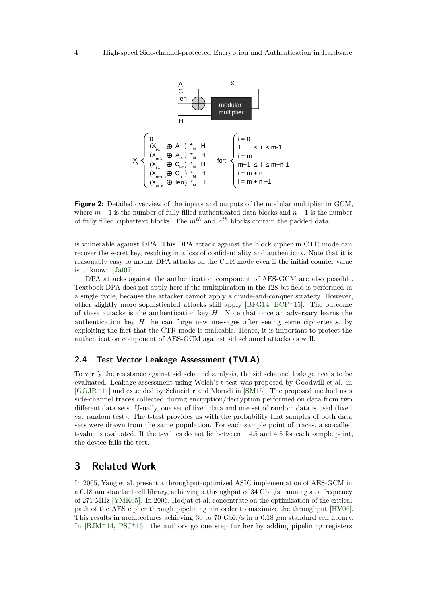<span id="page-3-1"></span>

**Figure 2:** Detailed overview of the inputs and outputs of the modular multiplier in GCM, where  $m-1$  is the number of fully filled authenticated data blocks and  $n-1$  is the number of fully filled ciphertext blocks. The *mth* and *n th* blocks contain the padded data.

is vulnerable against DPA. This DPA attack against the block cipher in CTR mode can recover the secret key, resulting in a loss of confidentiality and authenticity. Note that it is reasonably easy to mount DPA attacks on the CTR mode even if the initial counter value is unknown [\[Jaf07\]](#page-12-7).

DPA attacks against the authentication component of AES-GCM are also possible. Textbook DPA does not apply here if the multiplication in the 128-bit field is performed in a single cycle, because the attacker cannot apply a divide-and-conquer strategy. However, other slightly more sophisticated attacks still apply [\[BFG14,](#page-11-6) [BCF](#page-10-1)<sup>+</sup>15]. The outcome of these attacks is the authentication key *H*. Note that once an adversary learns the authentication key *H*, he can forge new messages after seeing some ciphertexts, by exploiting the fact that the CTR mode is malleable. Hence, it is important to protect the authentication component of AES-GCM against side-channel attacks as well.

### **2.4 Test Vector Leakage Assessment (TVLA)**

To verify the resistance against side-channel analysis, the side-channel leakage needs to be evaluated. Leakage assessment using Welch's t-test was proposed by Goodwill et al. in [\[GGJR](#page-11-7)<sup>+</sup>11] and extended by Schneider and Moradi in [\[SM15\]](#page-13-6). The proposed method uses side-channel traces collected during encryption/decryption performed on data from two different data sets. Usually, one set of fixed data and one set of random data is used (fixed vs. random test). The t-test provides us with the probability that samples of both data sets were drawn from the same population. For each sample point of traces, a so-called t-value is evaluated. If the t-values do not lie between −4*.*5 and 4*.*5 for each sample point, the device fails the test.

### <span id="page-3-0"></span>**3 Related Work**

In 2005, Yang et al. present a throughput-optimized ASIC implementation of AES-GCM in a 0.18  $\mu$ m standard cell library, achieving a throughput of 34 Gbit/s, running at a frequency of 271 MHz [\[YMK05\]](#page-14-1). In 2006, Hodjat et al. concentrate on the optimization of the critical path of the AES cipher through pipelining nin order to maximize the throughput [\[HV06\]](#page-12-8). This results in architectures achieving 30 to 70 Gbit/s in a 0.18 *µ*m standard cell library. In  $[BJM+14, PSJ+16]$  $[BJM+14, PSJ+16]$  $[BJM+14, PSJ+16]$  $[BJM+14, PSJ+16]$ , the authors go one step further by adding pipelining registers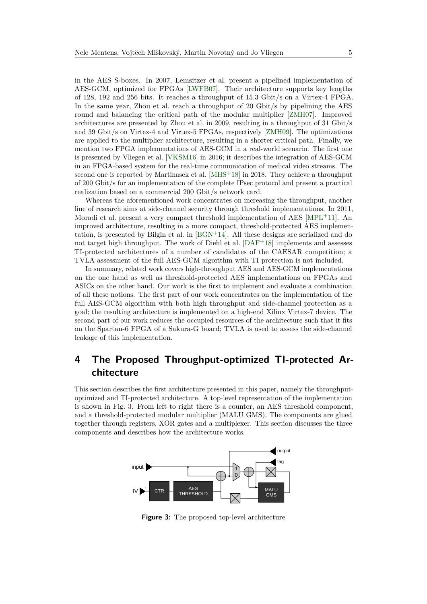in the AES S-boxes. In 2007, Lemsitzer et al. present a pipelined implementation of AES-GCM, optimized for FPGAs [\[LWFB07\]](#page-12-9). Their architecture supports key lengths of 128, 192 and 256 bits. It reaches a throughput of 15.3 Gbit/s on a Virtex-4 FPGA. In the same year, Zhou et al. reach a throughput of 20 Gbit/s by pipelining the AES round and balancing the critical path of the modular multiplier [\[ZMH07\]](#page-14-2). Improved architectures are presented by Zhou et al. in 2009, resulting in a throughput of 31 Gbit/s and 39 Gbit/s on Virtex-4 and Virtex-5 FPGAs, respectively [\[ZMH09\]](#page-14-3). The optimizations are applied to the multiplier architecture, resulting in a shorter critical path. Finally, we mention two FPGA implementations of AES-GCM in a real-world scenario. The first one is presented by Vliegen et al. [\[VKSM16\]](#page-13-8) in 2016; it describes the integration of AES-GCM in an FPGA-based system for the real-time communication of medical video streams. The second one is reported by Martinasek et al. [\[MHS](#page-12-10)<sup>+</sup>18] in 2018. They achieve a throughput of 200 Gbit/s for an implementation of the complete IPsec protocol and present a practical realization based on a commercial 200 Gbit/s network card.

Whereas the aforementioned work concentrates on increasing the throughput, another line of research aims at side-channel security through threshold implementations. In 2011, Moradi et al. present a very compact threshold implementation of AES [\[MPL](#page-12-5)+11]. An improved architecture, resulting in a more compact, threshold-protected AES implementation, is presented by Bilgin et al. in [\[BGN](#page-11-9)<sup>+</sup>14]. All these designs are serialized and do not target high throughput. The work of Diehl et al.  $[DAF^+18]$  $[DAF^+18]$  implements and assesses TI-protected architectures of a number of candidates of the CAESAR competition; a TVLA assessment of the full AES-GCM algorithm with TI protection is not included.

In summary, related work covers high-throughput AES and AES-GCM implementations on the one hand as well as threshold-protected AES implementations on FPGAs and ASICs on the other hand. Our work is the first to implement and evaluate a combination of all these notions. The first part of our work concentrates on the implementation of the full AES-GCM algorithm with both high throughput and side-channel protection as a goal; the resulting architecture is implemented on a high-end Xilinx Virtex-7 device. The second part of our work reduces the occupied resources of the architecture such that it fits on the Spartan-6 FPGA of a Sakura-G board; TVLA is used to assess the side-channel leakage of this implementation.

## <span id="page-4-0"></span>**4 The Proposed Throughput-optimized TI-protected Architecture**

This section describes the first architecture presented in this paper, namely the throughputoptimized and TI-protected architecture. A top-level representation of the implementation is shown in Fig. [3.](#page-4-1) From left to right there is a counter, an AES threshold component, and a threshold-protected modular multiplier (MALU GMS). The components are glued together through registers, XOR gates and a multiplexer. This section discusses the three components and describes how the architecture works.

<span id="page-4-1"></span>

**Figure 3:** The proposed top-level architecture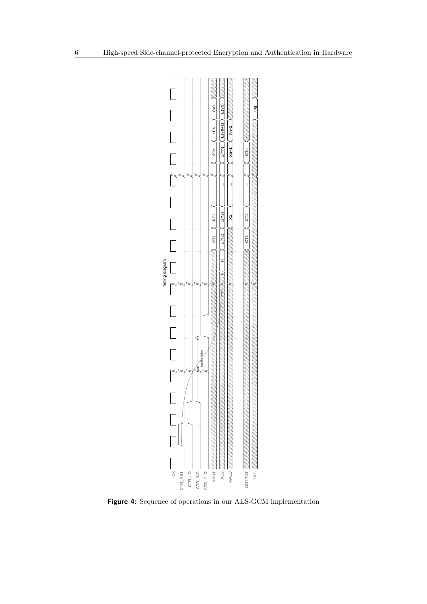<span id="page-5-0"></span>

**Figure 4:** Sequence of operations in our AES-GCM implementation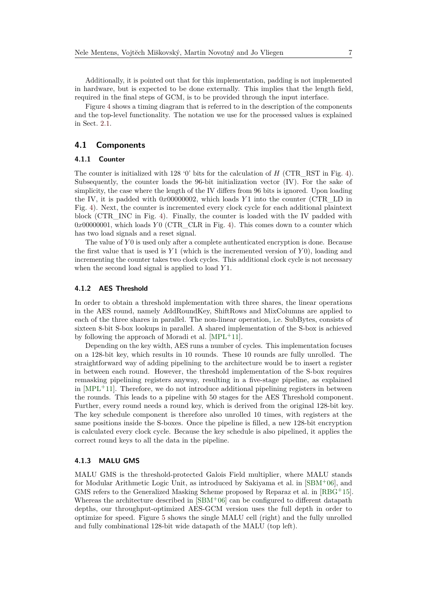Additionally, it is pointed out that for this implementation, padding is not implemented in hardware, but is expected to be done externally. This implies that the length field, required in the final steps of GCM, is to be provided through the input interface.

Figure [4](#page-5-0) shows a timing diagram that is referred to in the description of the components and the top-level functionality. The notation we use for the processed values is explained in Sect. [2.1.](#page-2-2)

### **4.1 Components**

#### **4.1.1 Counter**

The counter is initialized with 128 '0' bits for the calculation of *H* (CTR\_RST in Fig. [4\)](#page-5-0). Subsequently, the counter loads the 96-bit initialization vector (IV). For the sake of simplicity, the case where the length of the IV differs from 96 bits is ignored. Upon loading the IV, it is padded with 0*x*00000002, which loads *Y* 1 into the counter (CTR\_LD in Fig. [4\)](#page-5-0). Next, the counter is incremented every clock cycle for each additional plaintext block (CTR\_INC in Fig. [4\)](#page-5-0). Finally, the counter is loaded with the IV padded with 0*x*00000001, which loads *Y* 0 (CTR CLR in Fig. [4\)](#page-5-0). This comes down to a counter which has two load signals and a reset signal.

The value of *Y* 0 is used only after a complete authenticated encryption is done. Because the first value that is used is *Y* 1 (which is the incremented version of *Y* 0), loading and incrementing the counter takes two clock cycles. This additional clock cycle is not necessary when the second load signal is applied to load *Y* 1.

#### **4.1.2 AES Threshold**

In order to obtain a threshold implementation with three shares, the linear operations in the AES round, namely AddRoundKey, ShiftRows and MixColumns are applied to each of the three shares in parallel. The non-linear operation, i.e. SubBytes, consists of sixteen 8-bit S-box lookups in parallel. A shared implementation of the S-box is achieved by following the approach of Moradi et al. [\[MPL](#page-12-5)<sup>+</sup>11].

Depending on the key width, AES runs a number of cycles. This implementation focuses on a 128-bit key, which results in 10 rounds. These 10 rounds are fully unrolled. The straightforward way of adding pipelining to the architecture would be to insert a register in between each round. However, the threshold implementation of the S-box requires remasking pipelining registers anyway, resulting in a five-stage pipeline, as explained in  $[MPL+11]$  $[MPL+11]$ . Therefore, we do not introduce additional pipelining registers in between the rounds. This leads to a pipeline with 50 stages for the AES Threshold component. Further, every round needs a round key, which is derived from the original 128-bit key. The key schedule component is therefore also unrolled 10 times, with registers at the same positions inside the S-boxes. Once the pipeline is filled, a new 128-bit encryption is calculated every clock cycle. Because the key schedule is also pipelined, it applies the correct round keys to all the data in the pipeline.

#### **4.1.3 MALU GMS**

MALU GMS is the threshold-protected Galois Field multiplier, where MALU stands for Modular Arithmetic Logic Unit, as introduced by Sakiyama et al. in [\[SBM](#page-13-9)<sup>+</sup>06], and GMS refers to the Generalized Masking Scheme proposed by Reparaz et al. in [\[RBG](#page-13-10)+15]. Whereas the architecture described in  $[SBM+06]$  $[SBM+06]$  can be configured to different datapath depths, our throughput-optimized AES-GCM version uses the full depth in order to optimize for speed. Figure [5](#page-7-0) shows the single MALU cell (right) and the fully unrolled and fully combinational 128-bit wide datapath of the MALU (top left).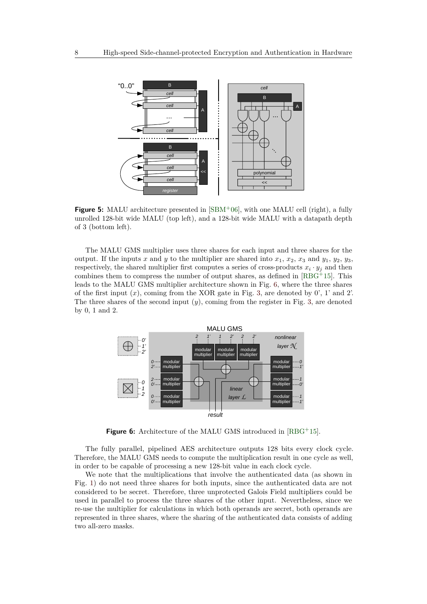<span id="page-7-0"></span>

**Figure 5:** MALU architecture presented in  $SSBM^+06$ , with one MALU cell (right), a fully unrolled 128-bit wide MALU (top left), and a 128-bit wide MALU with a datapath depth of 3 (bottom left).

The MALU GMS multiplier uses three shares for each input and three shares for the output. If the inputs *x* and *y* to the multiplier are shared into  $x_1$ ,  $x_2$ ,  $x_3$  and  $y_1$ ,  $y_2$ ,  $y_3$ , respectively, the shared multiplier first computes a series of cross-products  $x_i \cdot y_j$  and then combines them to compress the number of output shares, as defined in  $[RBG<sup>+</sup>15]$  $[RBG<sup>+</sup>15]$ . This leads to the MALU GMS multiplier architecture shown in Fig. [6,](#page-7-1) where the three shares of the first input  $(x)$ , coming from the XOR gate in Fig. [3,](#page-4-1) are denoted by  $0'$ , 1' and 2'. The three shares of the second input (*y*), coming from the register in Fig. [3,](#page-4-1) are denoted by 0, 1 and 2.

<span id="page-7-1"></span>

**Figure 6:** Architecture of the MALU GMS introduced in [\[RBG](#page-13-10)<sup>+</sup>15].

The fully parallel, pipelined AES architecture outputs 128 bits every clock cycle. Therefore, the MALU GMS needs to compute the multiplication result in one cycle as well, in order to be capable of processing a new 128-bit value in each clock cycle.

We note that the multiplications that involve the authenticated data (as shown in Fig. [1\)](#page-2-1) do not need three shares for both inputs, since the authenticated data are not considered to be secret. Therefore, three unprotected Galois Field multipliers could be used in parallel to process the three shares of the other input. Nevertheless, since we re-use the multiplier for calculations in which both operands are secret, both operands are represented in three shares, where the sharing of the authenticated data consists of adding two all-zero masks.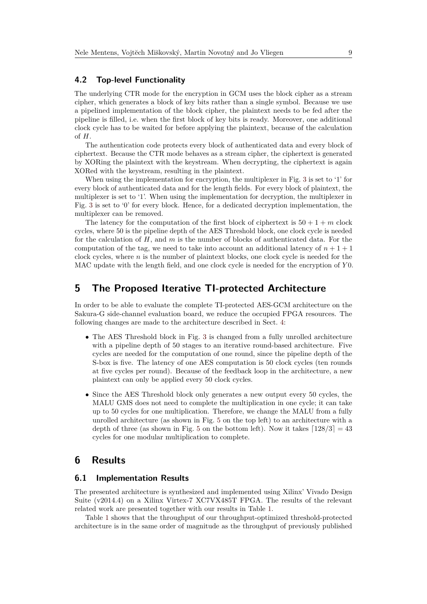#### **4.2 Top-level Functionality**

The underlying CTR mode for the encryption in GCM uses the block cipher as a stream cipher, which generates a block of key bits rather than a single symbol. Because we use a pipelined implementation of the block cipher, the plaintext needs to be fed after the pipeline is filled, i.e. when the first block of key bits is ready. Moreover, one additional clock cycle has to be waited for before applying the plaintext, because of the calculation of *H*.

The authentication code protects every block of authenticated data and every block of ciphertext. Because the CTR mode behaves as a stream cipher, the ciphertext is generated by XORing the plaintext with the keystream. When decrypting, the ciphertext is again XORed with the keystream, resulting in the plaintext.

When using the implementation for encryption, the multiplexer in Fig. [3](#page-4-1) is set to '1' for every block of authenticated data and for the length fields. For every block of plaintext, the multiplexer is set to '1'. When using the implementation for decryption, the multiplexer in Fig. [3](#page-4-1) is set to '0' for every block. Hence, for a dedicated decryption implementation, the multiplexer can be removed.

The latency for the computation of the first block of ciphertext is  $50 + 1 + m$  clock cycles, where 50 is the pipeline depth of the AES Threshold block, one clock cycle is needed for the calculation of *H*, and *m* is the number of blocks of authenticated data. For the computation of the tag, we need to take into account an additional latency of  $n+1+1$ clock cycles, where *n* is the number of plaintext blocks, one clock cycle is needed for the MAC update with the length field, and one clock cycle is needed for the encryption of *Y* 0.

### <span id="page-8-0"></span>**5 The Proposed Iterative TI-protected Architecture**

In order to be able to evaluate the complete TI-protected AES-GCM architecture on the Sakura-G side-channel evaluation board, we reduce the occupied FPGA resources. The following changes are made to the architecture described in Sect. [4:](#page-4-0)

- The AES Threshold block in Fig. [3](#page-4-1) is changed from a fully unrolled architecture with a pipeline depth of 50 stages to an iterative round-based architecture. Five cycles are needed for the computation of one round, since the pipeline depth of the S-box is five. The latency of one AES computation is 50 clock cycles (ten rounds at five cycles per round). Because of the feedback loop in the architecture, a new plaintext can only be applied every 50 clock cycles.
- Since the AES Threshold block only generates a new output every 50 cycles, the MALU GMS does not need to complete the multiplication in one cycle; it can take up to 50 cycles for one multiplication. Therefore, we change the MALU from a fully unrolled architecture (as shown in Fig. [5](#page-7-0) on the top left) to an architecture with a depth of three (as shown in Fig. [5](#page-7-0) on the bottom left). Now it takes  $[128/3] = 43$ cycles for one modular multiplication to complete.

### <span id="page-8-1"></span>**6 Results**

#### **6.1 Implementation Results**

The presented architecture is synthesized and implemented using Xilinx' Vivado Design Suite (v2014.4) on a Xilinx Virtex-7 XC7VX485T FPGA. The results of the relevant related work are presented together with our results in Table [1.](#page-9-0)

Table [1](#page-9-0) shows that the throughput of our throughput-optimized threshold-protected architecture is in the same order of magnitude as the throughput of previously published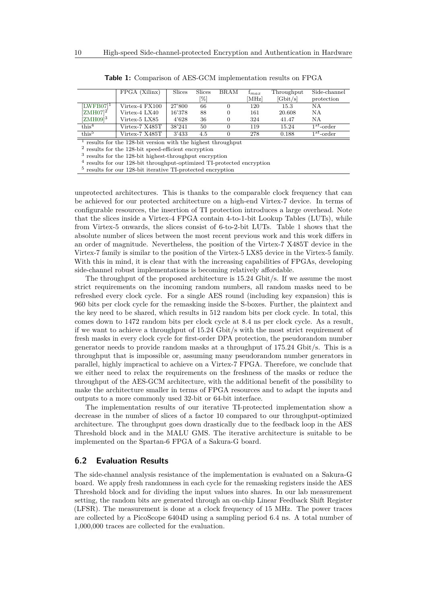<span id="page-9-0"></span>

|                        | FPGA (Xilinx)  | <b>Slices</b> | Slices | BRAM | $f_{max}$ | Throughput | Side-channel    |
|------------------------|----------------|---------------|--------|------|-----------|------------|-----------------|
|                        |                |               | [%]    |      | [MHz]     | [Gbit/s]   | protection      |
| $LWFB07]$ <sup>I</sup> | Virtex-4 FX100 | 27'800        | 66     |      | 120       | 15.3       | ΝA              |
| $(ZMH07]^2$            | Virtex-4 LX40  | 16'378        | 88     |      | 161       | 20.608     | ΝA              |
| $[ZMH09]$ <sup>3</sup> | Virtex-5 LX85  | 4'628         | 36     |      | 324       | 41.47      | NΑ              |
| this <sup>4</sup>      | Virtex-7 X485T | 38'241        | 50     |      | 119       | 15.24      | $1^{st}$ -order |
| $this^5$               | Virtex-7 X485T | 3'433         | 4.5    |      | 278       | 0.188      | $1^{st}$ -order |

**Table 1:** Comparison of AES-GCM implementation results on FPGA

<sup>1</sup> results for the 128-bit version with the highest throughput

2 results for the 128-bit speed-efficient encryption

3 results for the 128-bit highest-throughput encryption

4 results for our 128-bit throughput-optimized TI-protected encryption

5 results for our 128-bit iterative TI-protected encryption

unprotected architectures. This is thanks to the comparable clock frequency that can be achieved for our protected architecture on a high-end Virtex-7 device. In terms of configurable resources, the insertion of TI protection introduces a large overhead. Note that the slices inside a Virtex-4 FPGA contain 4-to-1-bit Lookup Tables (LUTs), while from Virtex-5 onwards, the slices consist of 6-to-2-bit LUTs. Table [1](#page-9-0) shows that the absolute number of slices between the most recent previous work and this work differs in an order of magnitude. Nevertheless, the position of the Virtex-7 X485T device in the Virtex-7 family is similar to the position of the Virtex-5 LX85 device in the Virtex-5 family. With this in mind, it is clear that with the increasing capabilities of FPGAs, developing side-channel robust implementations is becoming relatively affordable.

The throughput of the proposed architecture is 15.24 Gbit/s. If we assume the most strict requirements on the incoming random numbers, all random masks need to be refreshed every clock cycle. For a single AES round (including key expansion) this is 960 bits per clock cycle for the remasking inside the S-boxes. Further, the plaintext and the key need to be shared, which results in 512 random bits per clock cycle. In total, this comes down to 1472 random bits per clock cycle at 8.4 ns per clock cycle. As a result, if we want to achieve a throughput of 15.24 Gbit/s with the most strict requirement of fresh masks in every clock cycle for first-order DPA protection, the pseudorandom number generator needs to provide random masks at a throughput of 175.24 Gbit/s. This is a throughput that is impossible or, assuming many pseudorandom number generators in parallel, highly impractical to achieve on a Virtex-7 FPGA. Therefore, we conclude that we either need to relax the requirements on the freshness of the masks or reduce the throughput of the AES-GCM architecture, with the additional benefit of the possibility to make the architecture smaller in terms of FPGA resources and to adapt the inputs and outputs to a more commonly used 32-bit or 64-bit interface.

The implementation results of our iterative TI-protected implementation show a decrease in the number of slices of a factor 10 compared to our throughput-optimized architecture. The throughput goes down drastically due to the feedback loop in the AES Threshold block and in the MALU GMS. The iterative architecture is suitable to be implemented on the Spartan-6 FPGA of a Sakura-G board.

#### **6.2 Evaluation Results**

The side-channel analysis resistance of the implementation is evaluated on a Sakura-G board. We apply fresh randomness in each cycle for the remasking registers inside the AES Threshold block and for dividing the input values into shares. In our lab measurement setting, the random bits are generated through an on-chip Linear Feedback Shift Register (LFSR). The measurement is done at a clock frequency of 15 MHz. The power traces are collected by a PicoScope 6404D using a sampling period 6.4 ns. A total number of 1,000,000 traces are collected for the evaluation.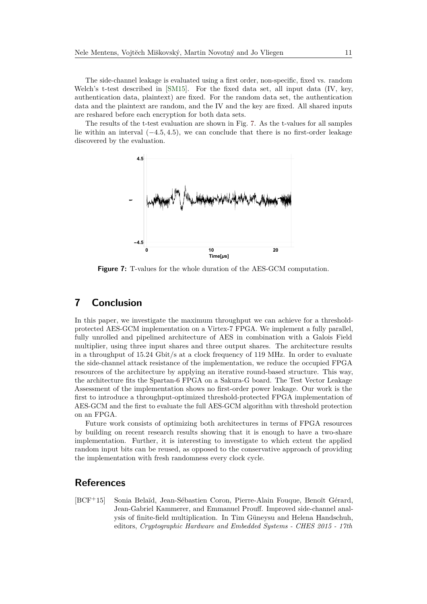The side-channel leakage is evaluated using a first order, non-specific, fixed vs. random Welch's t-test described in [\[SM15\]](#page-13-6). For the fixed data set, all input data (IV, key, authentication data, plaintext) are fixed. For the random data set, the authentication data and the plaintext are random, and the IV and the key are fixed. All shared inputs are reshared before each encryption for both data sets.

<span id="page-10-2"></span>The results of the t-test evaluation are shown in Fig. [7.](#page-10-2) As the t-values for all samples lie within an interval (−4*.*5*,* 4*.*5), we can conclude that there is no first-order leakage discovered by the evaluation.



**Figure 7:** T-values for the whole duration of the AES-GCM computation.

### <span id="page-10-0"></span>**7 Conclusion**

In this paper, we investigate the maximum throughput we can achieve for a thresholdprotected AES-GCM implementation on a Virtex-7 FPGA. We implement a fully parallel, fully unrolled and pipelined architecture of AES in combination with a Galois Field multiplier, using three input shares and three output shares. The architecture results in a throughput of 15.24 Gbit/s at a clock frequency of 119 MHz. In order to evaluate the side-channel attack resistance of the implementation, we reduce the occupied FPGA resources of the architecture by applying an iterative round-based structure. This way, the architecture fits the Spartan-6 FPGA on a Sakura-G board. The Test Vector Leakage Assessment of the implementation shows no first-order power leakage. Our work is the first to introduce a throughput-optimized threshold-protected FPGA implementation of AES-GCM and the first to evaluate the full AES-GCM algorithm with threshold protection on an FPGA.

Future work consists of optimizing both architectures in terms of FPGA resources by building on recent research results showing that it is enough to have a two-share implementation. Further, it is interesting to investigate to which extent the applied random input bits can be reused, as opposed to the conservative approach of providing the implementation with fresh randomness every clock cycle.

### **References**

<span id="page-10-1"></span>[BCF<sup>+</sup>15] Sonia Belaïd, Jean-Sébastien Coron, Pierre-Alain Fouque, Benoît Gérard, Jean-Gabriel Kammerer, and Emmanuel Prouff. Improved side-channel analysis of finite-field multiplication. In Tim Güneysu and Helena Handschuh, editors, *Cryptographic Hardware and Embedded Systems - CHES 2015 - 17th*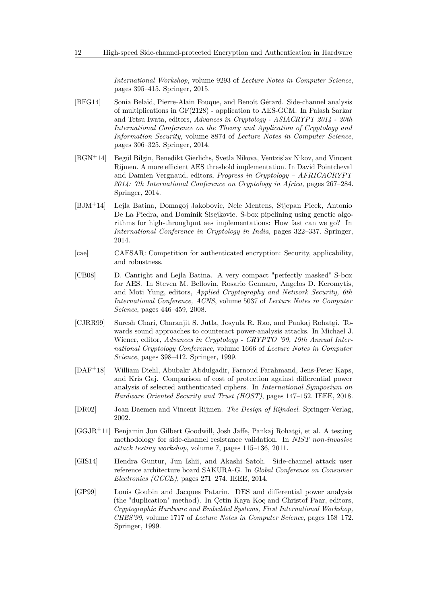*International Workshop*, volume 9293 of *Lecture Notes in Computer Science*, pages 395–415. Springer, 2015.

- <span id="page-11-6"></span>[BFG14] Sonia Belaïd, Pierre-Alain Fouque, and Benoît Gérard. Side-channel analysis of multiplications in GF(2128) - application to AES-GCM. In Palash Sarkar and Tetsu Iwata, editors, *Advances in Cryptology - ASIACRYPT 2014 - 20th International Conference on the Theory and Application of Cryptology and Information Security*, volume 8874 of *Lecture Notes in Computer Science*, pages 306–325. Springer, 2014.
- <span id="page-11-9"></span>[BGN<sup>+</sup>14] Begül Bilgin, Benedikt Gierlichs, Svetla Nikova, Ventzislav Nikov, and Vincent Rijmen. A more efficient AES threshold implementation. In David Pointcheval and Damien Vergnaud, editors, *Progress in Cryptology – AFRICACRYPT 2014: 7th International Conference on Cryptology in Africa*, pages 267–284. Springer, 2014.
- <span id="page-11-8"></span>[BJM<sup>+</sup>14] Lejla Batina, Domagoj Jakobovic, Nele Mentens, Stjepan Picek, Antonio De La Piedra, and Dominik Sisejkovic. S-box pipelining using genetic algorithms for high-throughput aes implementations: How fast can we go? In *International Conference in Cryptology in India*, pages 322–337. Springer, 2014.
- <span id="page-11-1"></span>[cae] CAESAR: Competition for authenticated encryption: Security, applicability, and robustness.
- <span id="page-11-4"></span>[CB08] D. Canright and Lejla Batina. A very compact "perfectly masked" S-box for AES. In Steven M. Bellovin, Rosario Gennaro, Angelos D. Keromytis, and Moti Yung, editors, *Applied Cryptography and Network Security, 6th International Conference, ACNS*, volume 5037 of *Lecture Notes in Computer Science*, pages 446–459, 2008.
- <span id="page-11-3"></span>[CJRR99] Suresh Chari, Charanjit S. Jutla, Josyula R. Rao, and Pankaj Rohatgi. Towards sound approaches to counteract power-analysis attacks. In Michael J. Wiener, editor, *Advances in Cryptology - CRYPTO '99, 19th Annual International Cryptology Conference*, volume 1666 of *Lecture Notes in Computer Science*, pages 398–412. Springer, 1999.
- <span id="page-11-10"></span>[DAF<sup>+</sup>18] William Diehl, Abubakr Abdulgadir, Farnoud Farahmand, Jens-Peter Kaps, and Kris Gaj. Comparison of cost of protection against differential power analysis of selected authenticated ciphers. In *International Symposium on Hardware Oriented Security and Trust (HOST)*, pages 147–152. IEEE, 2018.
- <span id="page-11-0"></span>[DR02] Joan Daemen and Vincent Rijmen. *The Design of Rijndael*. Springer-Verlag, 2002.
- <span id="page-11-7"></span>[GGJR<sup>+</sup>11] Benjamin Jun Gilbert Goodwill, Josh Jaffe, Pankaj Rohatgi, et al. A testing methodology for side-channel resistance validation. In *NIST non-invasive attack testing workshop*, volume 7, pages 115–136, 2011.
- <span id="page-11-5"></span>[GIS14] Hendra Guntur, Jun Ishii, and Akashi Satoh. Side-channel attack user reference architecture board SAKURA-G. In *Global Conference on Consumer Electronics (GCCE)*, pages 271–274. IEEE, 2014.
- <span id="page-11-2"></span>[GP99] Louis Goubin and Jacques Patarin. DES and differential power analysis (the "duplication" method). In Çetin Kaya Koç and Christof Paar, editors, *Cryptographic Hardware and Embedded Systems, First International Workshop, CHES'99*, volume 1717 of *Lecture Notes in Computer Science*, pages 158–172. Springer, 1999.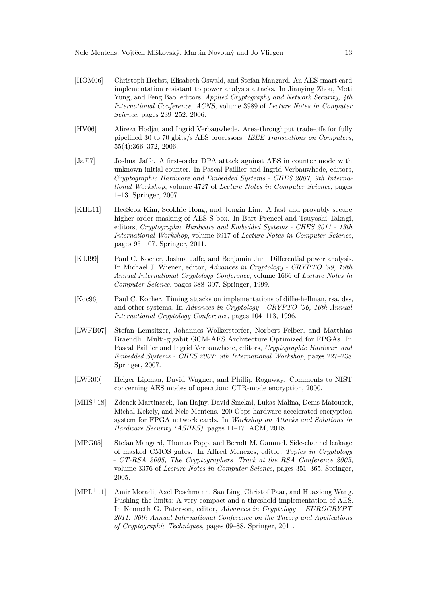- <span id="page-12-3"></span>[HOM06] Christoph Herbst, Elisabeth Oswald, and Stefan Mangard. An AES smart card implementation resistant to power analysis attacks. In Jianying Zhou, Moti Yung, and Feng Bao, editors, *Applied Cryptography and Network Security, 4th International Conference, ACNS*, volume 3989 of *Lecture Notes in Computer Science*, pages 239–252, 2006.
- <span id="page-12-8"></span>[HV06] Alireza Hodjat and Ingrid Verbauwhede. Area-throughput trade-offs for fully pipelined 30 to 70 gbits/s AES processors. *IEEE Transactions on Computers*, 55(4):366–372, 2006.
- <span id="page-12-7"></span>[Jaf07] Joshua Jaffe. A first-order DPA attack against AES in counter mode with unknown initial counter. In Pascal Paillier and Ingrid Verbauwhede, editors, *Cryptographic Hardware and Embedded Systems - CHES 2007, 9th International Workshop*, volume 4727 of *Lecture Notes in Computer Science*, pages 1–13. Springer, 2007.
- <span id="page-12-4"></span>[KHL11] HeeSeok Kim, Seokhie Hong, and Jongin Lim. A fast and provably secure higher-order masking of AES S-box. In Bart Preneel and Tsuyoshi Takagi, editors, *Cryptographic Hardware and Embedded Systems - CHES 2011 - 13th International Workshop*, volume 6917 of *Lecture Notes in Computer Science*, pages 95–107. Springer, 2011.
- <span id="page-12-2"></span>[KJJ99] Paul C. Kocher, Joshua Jaffe, and Benjamin Jun. Differential power analysis. In Michael J. Wiener, editor, *Advances in Cryptology - CRYPTO '99, 19th Annual International Cryptology Conference*, volume 1666 of *Lecture Notes in Computer Science*, pages 388–397. Springer, 1999.
- <span id="page-12-1"></span>[Koc96] Paul C. Kocher. Timing attacks on implementations of diffie-hellman, rsa, dss, and other systems. In *Advances in Cryptology - CRYPTO '96, 16th Annual International Cryptology Conference*, pages 104–113, 1996.
- <span id="page-12-9"></span>[LWFB07] Stefan Lemsitzer, Johannes Wolkerstorfer, Norbert Felber, and Matthias Braendli. Multi-gigabit GCM-AES Architecture Optimized for FPGAs. In Pascal Paillier and Ingrid Verbauwhede, editors, *Cryptographic Hardware and Embedded Systems - CHES 2007: 9th International Workshop*, pages 227–238. Springer, 2007.
- <span id="page-12-0"></span>[LWR00] Helger Lipmaa, David Wagner, and Phillip Rogaway. Comments to NIST concerning AES modes of operation: CTR-mode encryption, 2000.
- <span id="page-12-10"></span>[MHS<sup>+</sup>18] Zdenek Martinasek, Jan Hajny, David Smekal, Lukas Malina, Denis Matousek, Michal Kekely, and Nele Mentens. 200 Gbps hardware accelerated encryption system for FPGA network cards. In *Workshop on Attacks and Solutions in Hardware Security (ASHES)*, pages 11–17. ACM, 2018.
- <span id="page-12-6"></span>[MPG05] Stefan Mangard, Thomas Popp, and Berndt M. Gammel. Side-channel leakage of masked CMOS gates. In Alfred Menezes, editor, *Topics in Cryptology - CT-RSA 2005, The Cryptographers' Track at the RSA Conference 2005*, volume 3376 of *Lecture Notes in Computer Science*, pages 351–365. Springer, 2005.
- <span id="page-12-5"></span>[MPL<sup>+</sup>11] Amir Moradi, Axel Poschmann, San Ling, Christof Paar, and Huaxiong Wang. Pushing the limits: A very compact and a threshold implementation of AES. In Kenneth G. Paterson, editor, *Advances in Cryptology – EUROCRYPT 2011: 30th Annual International Conference on the Theory and Applications of Cryptographic Techniques*, pages 69–88. Springer, 2011.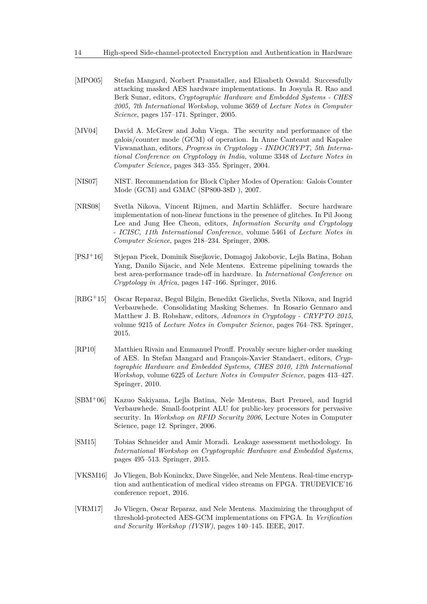- <span id="page-13-5"></span>[MPO05] Stefan Mangard, Norbert Pramstaller, and Elisabeth Oswald. Successfully attacking masked AES hardware implementations. In Josyula R. Rao and Berk Sunar, editors, *Cryptographic Hardware and Embedded Systems - CHES 2005, 7th International Workshop*, volume 3659 of *Lecture Notes in Computer Science*, pages 157–171. Springer, 2005.
- <span id="page-13-1"></span>[MV04] David A. McGrew and John Viega. The security and performance of the galois/counter mode (GCM) of operation. In Anne Canteaut and Kapalee Viswanathan, editors, *Progress in Cryptology - INDOCRYPT, 5th International Conference on Cryptology in India*, volume 3348 of *Lecture Notes in Computer Science*, pages 343–355. Springer, 2004.
- <span id="page-13-0"></span>[NIS07] NIST. Recommendation for Block Cipher Modes of Operation: Galois Counter Mode (GCM) and GMAC (SP800-38D ), 2007.
- <span id="page-13-3"></span>[NRS08] Svetla Nikova, Vincent Rijmen, and Martin Schläffer. Secure hardware implementation of non-linear functions in the presence of glitches. In Pil Joong Lee and Jung Hee Cheon, editors, *Information Security and Cryptology - ICISC, 11th International Conference*, volume 5461 of *Lecture Notes in Computer Science*, pages 218–234. Springer, 2008.
- <span id="page-13-7"></span>[PSJ<sup>+</sup>16] Stjepan Picek, Dominik Sisejkovic, Domagoj Jakobovic, Lejla Batina, Bohan Yang, Danilo Sijacic, and Nele Mentens. Extreme pipelining towards the best area-performance trade-off in hardware. In *International Conference on Cryptology in Africa*, pages 147–166. Springer, 2016.
- <span id="page-13-10"></span>[RBG<sup>+</sup>15] Oscar Reparaz, Begul Bilgin, Benedikt Gierlichs, Svetla Nikova, and Ingrid Verbauwhede. Consolidating Masking Schemes. In Rosario Gennaro and Matthew J. B. Robshaw, editors, *Advances in Cryptology - CRYPTO 2015*, volume 9215 of *Lecture Notes in Computer Science*, pages 764–783. Springer, 2015.
- <span id="page-13-2"></span>[RP10] Matthieu Rivain and Emmanuel Prouff. Provably secure higher-order masking of AES. In Stefan Mangard and François-Xavier Standaert, editors, *Cryptographic Hardware and Embedded Systems, CHES 2010, 12th International Workshop*, volume 6225 of *Lecture Notes in Computer Science*, pages 413–427. Springer, 2010.
- <span id="page-13-9"></span>[SBM<sup>+</sup>06] Kazuo Sakiyama, Lejla Batina, Nele Mentens, Bart Preneel, and Ingrid Verbauwhede. Small-footprint ALU for public-key processors for pervasive security. In *Workshop on RFID Security 2006*, Lecture Notes in Computer Science, page 12. Springer, 2006.
- <span id="page-13-6"></span>[SM15] Tobias Schneider and Amir Moradi. Leakage assessment methodology. In *International Workshop on Cryptographic Hardware and Embedded Systems*, pages 495–513. Springer, 2015.
- <span id="page-13-8"></span>[VKSM16] Jo Vliegen, Bob Koninckx, Dave Singelée, and Nele Mentens. Real-time encryption and authentication of medical video streams on FPGA. TRUDEVICE'16 conference report, 2016.
- <span id="page-13-4"></span>[VRM17] Jo Vliegen, Oscar Reparaz, and Nele Mentens. Maximizing the throughput of threshold-protected AES-GCM implementations on FPGA. In *Verification and Security Workshop (IVSW)*, pages 140–145. IEEE, 2017.